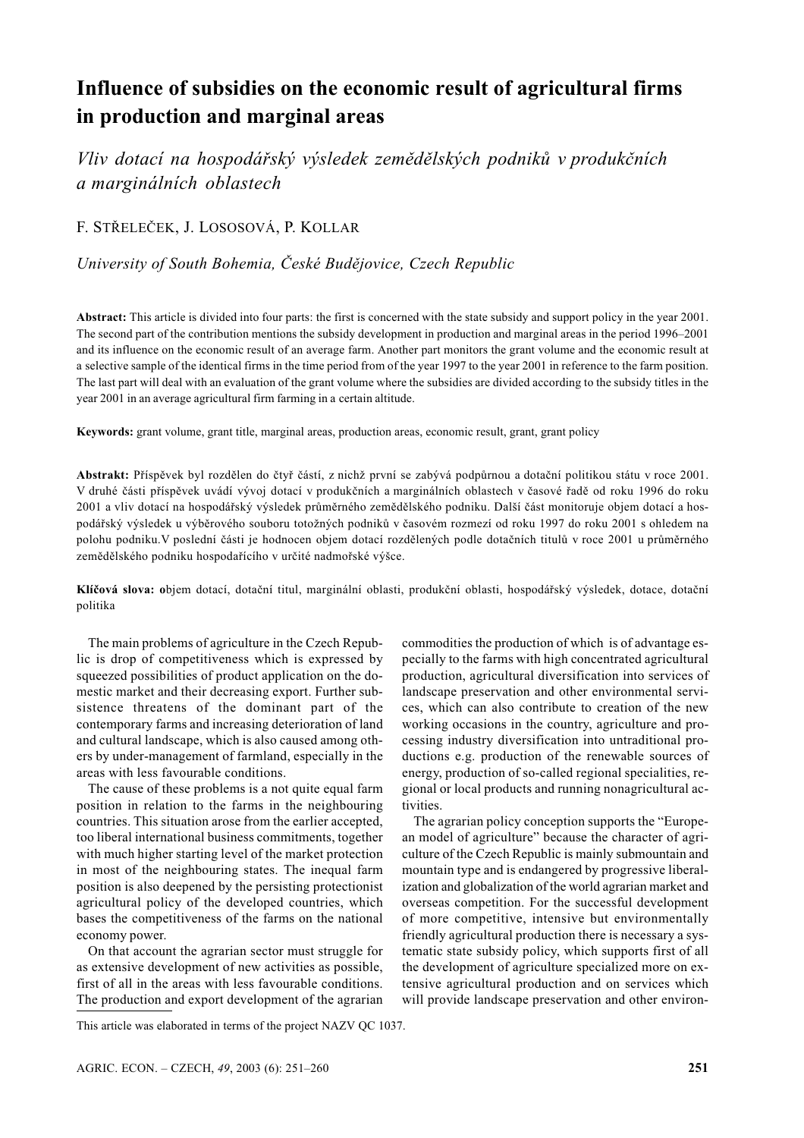# Influence of subsidies on the economic result of agricultural firms in production and marginal areas

Vliv dotací na hospodářský výsledek zemědělských podniků v produkčních a marginálních oblastech

F. STŘELEČEK, J. LOSOSOVÁ, P. KOLLAR

University of South Bohemia, České Budějovice, Czech Republic

Abstract: This article is divided into four parts: the first is concerned with the state subsidy and support policy in the year 2001. The second part of the contribution mentions the subsidy development in production and marginal areas in the period 1996–2001 and its influence on the economic result of an average farm. Another part monitors the grant volume and the economic result at a selective sample of the identical firms in the time period from of the year 1997 to the year 2001 in reference to the farm position. The last part will deal with an evaluation of the grant volume where the subsidies are divided according to the subsidy titles in the year 2001 in an average agricultural firm farming in a certain altitude.

Keywords: grant volume, grant title, marginal areas, production areas, economic result, grant, grant policy

Abstrakt: Příspěvek byl rozdělen do čtyř částí, z nichž první se zabývá podpůrnou a dotační politikou státu v roce 2001. V druhé části příspěvek uvádí vývoj dotací v produkčních a marginálních oblastech v časové řadě od roku 1996 do roku 2001 a vliv dotací na hospodářský výsledek průměrného zemědělského podniku. Další část monitoruje objem dotací a hospodářský výsledek u výběrového souboru totožných podniků v časovém rozmezí od roku 1997 do roku 2001 s ohledem na polohu podniku. V poslední části je hodnocen objem dotací rozdělených podle dotačních titulů v roce 2001 u průměrného zemědělského podniku hospodařícího v určité nadmořské výšce.

Klíčová slova: objem dotací, dotační titul, marginální oblasti, produkční oblasti, hospodářský výsledek, dotace, dotační politika

The main problems of agriculture in the Czech Republic is drop of competitiveness which is expressed by squeezed possibilities of product application on the domestic market and their decreasing export. Further subsistence threatens of the dominant part of the contemporary farms and increasing deterioration of land and cultural landscape, which is also caused among others by under-management of farmland, especially in the areas with less favourable conditions.

The cause of these problems is a not quite equal farm position in relation to the farms in the neighbouring countries. This situation arose from the earlier accepted, too liberal international business commitments, together with much higher starting level of the market protection in most of the neighbouring states. The inequal farm position is also deepened by the persisting protectionist agricultural policy of the developed countries, which bases the competitiveness of the farms on the national economy power.

On that account the agrarian sector must struggle for as extensive development of new activities as possible, first of all in the areas with less favourable conditions. The production and export development of the agrarian commodities the production of which is of advantage especially to the farms with high concentrated agricultural production, agricultural diversification into services of landscape preservation and other environmental services, which can also contribute to creation of the new working occasions in the country, agriculture and processing industry diversification into untraditional productions e.g. production of the renewable sources of energy, production of so-called regional specialities, regional or local products and running nonagricultural activities.

The agrarian policy conception supports the "European model of agriculture" because the character of agriculture of the Czech Republic is mainly submountain and mountain type and is endangered by progressive liberalization and globalization of the world agrarian market and overseas competition. For the successful development of more competitive, intensive but environmentally friendly agricultural production there is necessary a systematic state subsidy policy, which supports first of all the development of agriculture specialized more on extensive agricultural production and on services which will provide landscape preservation and other environ-

This article was elaborated in terms of the project NAZV QC 1037.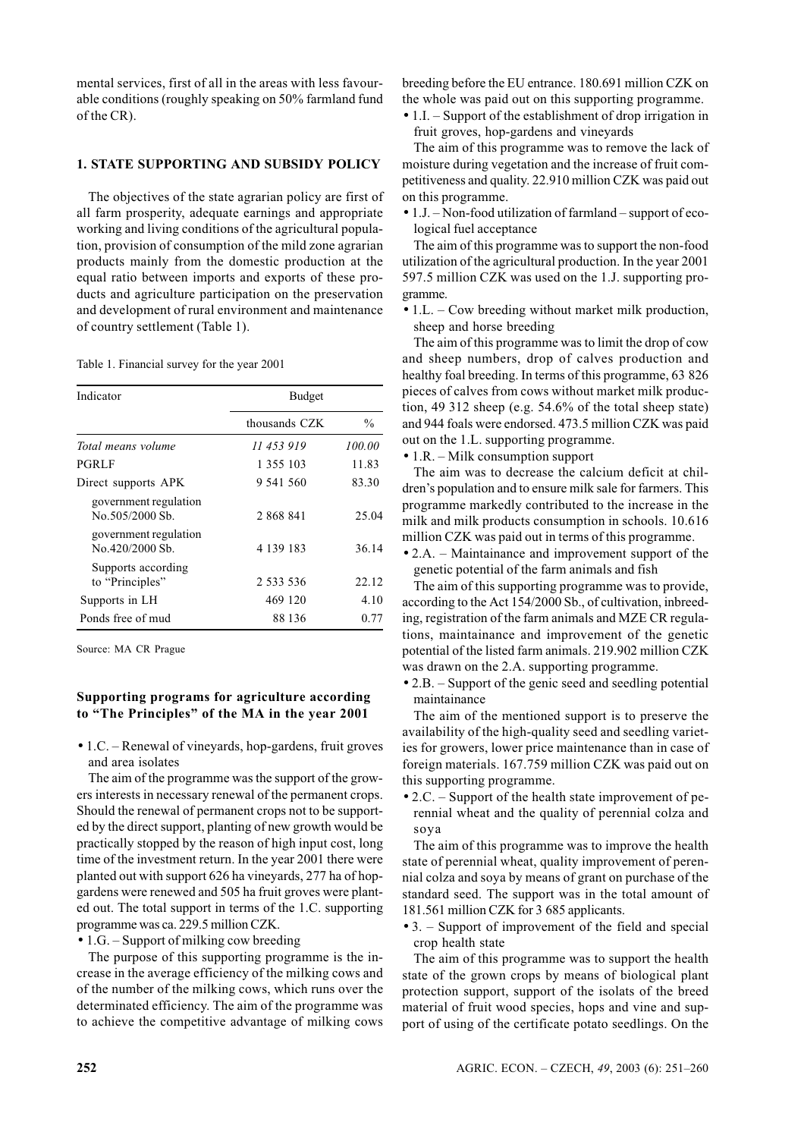mental services, first of all in the areas with less favourable conditions (roughly speaking on 50% farmland fund of the CR).

# **1. STATE SUPPORTING AND SUBSIDY POLICY**

The objectives of the state agrarian policy are first of all farm prosperity, adequate earnings and appropriate working and living conditions of the agricultural population, provision of consumption of the mild zone agrarian products mainly from the domestic production at the equal ratio between imports and exports of these products and agriculture participation on the preservation and development of rural environment and maintenance of country settlement (Table 1).

Table 1. Financial survey for the year 2001

| Indicator                                 | <b>Budget</b> |               |  |  |  |
|-------------------------------------------|---------------|---------------|--|--|--|
|                                           | thousands CZK | $\frac{0}{0}$ |  |  |  |
| Total means volume                        | 11 453 919    | 100.00        |  |  |  |
| PGRLF                                     | 1 355 103     | 11.83         |  |  |  |
| Direct supports APK                       | 9 541 560     | 83.30         |  |  |  |
| government regulation<br>No. 505/2000 Sb. | 2 868 841     | 25.04         |  |  |  |
| government regulation<br>No. 420/2000 Sb. | 4 139 183     | 36.14         |  |  |  |
| Supports according<br>to "Principles"     | 2 533 536     | 22.12         |  |  |  |
| Supports in LH                            | 469 120       | 4.10          |  |  |  |
| Ponds free of mud                         | 88 136        | 0.77          |  |  |  |

Source: MA CR Prague

#### Supporting programs for agriculture according to "The Principles" of the MA in the year 2001

 $\bullet$  1.C. – Renewal of vineyards, hop-gardens, fruit groves and area isolates

The aim of the programme was the support of the growers interests in necessary renewal of the permanent crops. Should the renewal of permanent crops not to be supported by the direct support, planting of new growth would be practically stopped by the reason of high input cost, long time of the investment return. In the year 2001 there were planted out with support 626 ha vineyards, 277 ha of hopgardens were renewed and 505 ha fruit groves were planted out. The total support in terms of the 1.C. supporting programme was ca. 229.5 million CZK.

 $\bullet$  1.G. – Support of milking cow breeding

The purpose of this supporting programme is the increase in the average efficiency of the milking cows and of the number of the milking cows, which runs over the determinated efficiency. The aim of the programme was to achieve the competitive advantage of milking cows breeding before the EU entrance. 180.691 million CZK on the whole was paid out on this supporting programme.

 $\bullet$  1.I. – Support of the establishment of drop irrigation in fruit groves, hop-gardens and vinevards

The aim of this programme was to remove the lack of moisture during vegetation and the increase of fruit competitiveness and quality. 22.910 million CZK was paid out on this programme.

 $\bullet$  1.J. – Non-food utilization of farmland – support of ecological fuel acceptance

The aim of this programme was to support the non-food utilization of the agricultural production. In the year 2001 597.5 million CZK was used on the 1.J. supporting programme.

 $\bullet$  1.L. – Cow breeding without market milk production, sheep and horse breeding

The aim of this programme was to limit the drop of cow and sheep numbers, drop of calves production and healthy foal breeding. In terms of this programme, 63 826 pieces of calves from cows without market milk production, 49 312 sheep (e.g.  $54.6\%$  of the total sheep state) and 944 foals were endorsed. 473.5 million CZK was paid out on the 1.L. supporting programme.

 $\bullet$  1.R. – Milk consumption support

The aim was to decrease the calcium deficit at children's population and to ensure milk sale for farmers. This programme markedly contributed to the increase in the milk and milk products consumption in schools. 10.616 million CZK was paid out in terms of this programme.

• 2.A. – Maintainance and improvement support of the genetic potential of the farm animals and fish

The aim of this supporting programme was to provide, according to the Act 154/2000 Sb., of cultivation, inbreeding, registration of the farm animals and MZE CR regulations, maintainance and improvement of the genetic potential of the listed farm animals. 219.902 million CZK was drawn on the 2.A. supporting programme.

 $\bullet$  2.B. – Support of the genic seed and seedling potential maintainance

The aim of the mentioned support is to preserve the availability of the high-quality seed and seedling varieties for growers, lower price maintenance than in case of foreign materials. 167.759 million CZK was paid out on this supporting programme.

• 2.C. – Support of the health state improvement of perennial wheat and the quality of perennial colza and soya

The aim of this programme was to improve the health state of perennial wheat, quality improvement of perennial colza and soya by means of grant on purchase of the standard seed. The support was in the total amount of 181.561 million CZK for 3 685 applicants.

• 3. - Support of improvement of the field and special crop health state

The aim of this programme was to support the health state of the grown crops by means of biological plant protection support, support of the isolats of the breed material of fruit wood species, hops and vine and support of using of the certificate potato seedlings. On the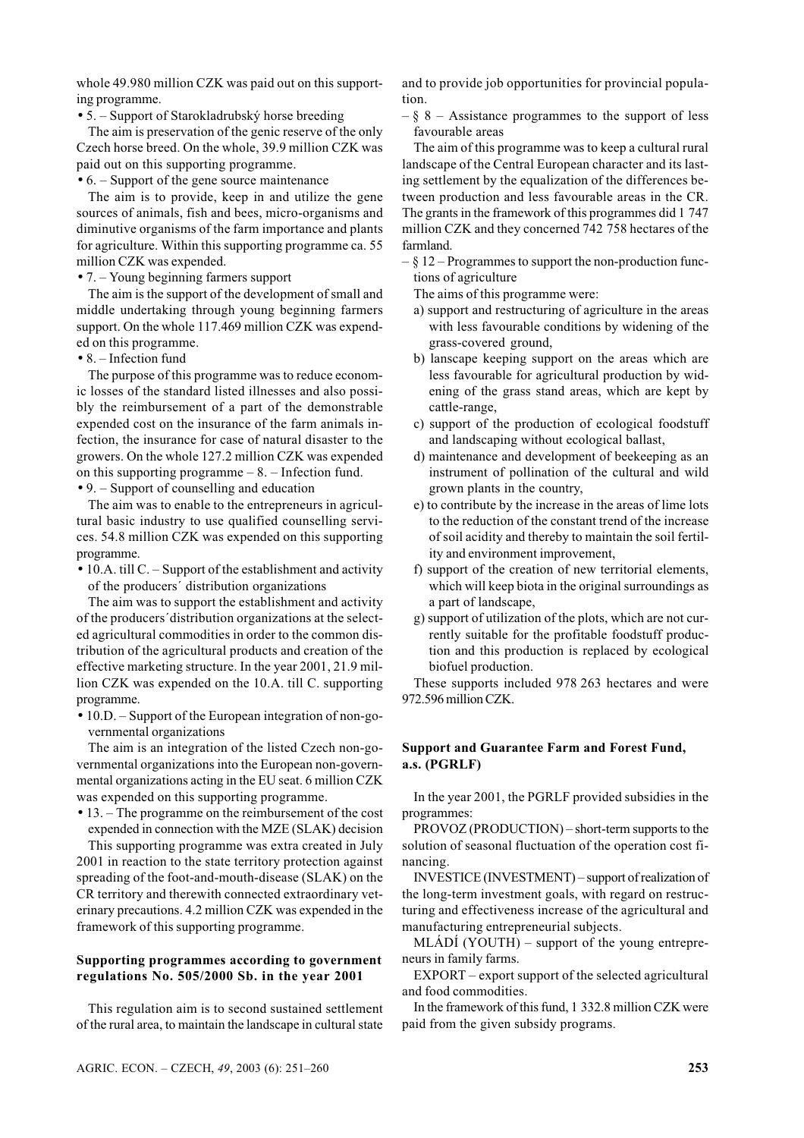whole 49.980 million CZK was paid out on this supporting programme.

• 5. – Support of Starokladrubský horse breeding

The aim is preservation of the genic reserve of the only Czech horse breed. On the whole, 39.9 million CZK was paid out on this supporting programme.

 $\bullet$  6. – Support of the gene source maintenance

The aim is to provide, keep in and utilize the gene sources of animals, fish and bees, micro-organisms and diminutive organisms of the farm importance and plants for agriculture. Within this supporting programme ca. 55 million CZK was expended.

 $\bullet$  7. – Young beginning farmers support

The aim is the support of the development of small and middle undertaking through young beginning farmers support. On the whole 117.469 million CZK was expended on this programme.

 $\bullet$  8. – Infection fund

The purpose of this programme was to reduce economic losses of the standard listed illnesses and also possibly the reimbursement of a part of the demonstrable expended cost on the insurance of the farm animals infection, the insurance for case of natural disaster to the growers. On the whole 127.2 million CZK was expended on this supporting programme  $-8$ .  $-$  Infection fund.

 $\bullet$  9. – Support of counselling and education

The aim was to enable to the entrepreneurs in agricultural basic industry to use qualified counselling services. 54.8 million CZK was expended on this supporting programme.

• 10.A. till C. - Support of the establishment and activity of the producers' distribution organizations

The aim was to support the establishment and activity of the producers' distribution organizations at the selected agricultural commodities in order to the common distribution of the agricultural products and creation of the effective marketing structure. In the year 2001, 21.9 million CZK was expended on the 10.A. till C. supporting programme.

• 10.D. - Support of the European integration of non-governmental organizations

The aim is an integration of the listed Czech non-governmental organizations into the European non-governmental organizations acting in the EU seat. 6 million CZK was expended on this supporting programme.

 $\bullet$  13. – The programme on the reimbursement of the cost expended in connection with the MZE (SLAK) decision

This supporting programme was extra created in July 2001 in reaction to the state territory protection against spreading of the foot-and-mouth-disease (SLAK) on the CR territory and therewith connected extraordinary veterinary precautions. 4.2 million CZK was expended in the framework of this supporting programme.

## Supporting programmes according to government regulations No. 505/2000 Sb. in the year 2001

This regulation aim is to second sustained settlement of the rural area, to maintain the landscape in cultural state and to provide job opportunities for provincial popula $tion$ 

 $-\xi$  8 – Assistance programmes to the support of less favourable areas

The aim of this programme was to keep a cultural rural landscape of the Central European character and its lasting settlement by the equalization of the differences between production and less favourable areas in the CR. The grants in the framework of this programmes did 1 747 million CZK and they concerned 742 758 hectares of the farmland.

 $\&$  12 – Programmes to support the non-production functions of agriculture

The aims of this programme were:

- a) support and restructuring of agriculture in the areas with less favourable conditions by widening of the grass-covered ground.
- b) lanscape keeping support on the areas which are less favourable for agricultural production by widening of the grass stand areas, which are kept by cattle-range,
- c) support of the production of ecological foodstuff and landscaping without ecological ballast.
- d) maintenance and development of beekeeping as an instrument of pollination of the cultural and wild grown plants in the country,
- e) to contribute by the increase in the areas of lime lots to the reduction of the constant trend of the increase of soil acidity and thereby to maintain the soil fertility and environment improvement,
- f) support of the creation of new territorial elements, which will keep biota in the original surroundings as a part of landscape,
- g) support of utilization of the plots, which are not currently suitable for the profitable foodstuff production and this production is replaced by ecological biofuel production.

These supports included 978 263 hectares and were 972.596 million CZK.

## **Support and Guarantee Farm and Forest Fund,** a.s. (PGRLF)

In the year 2001, the PGRLF provided subsidies in the programmes:

PROVOZ (PRODUCTION) – short-term supports to the solution of seasonal fluctuation of the operation cost financing.

INVESTICE (INVESTMENT) – support of realization of the long-term investment goals, with regard on restructuring and effectiveness increase of the agricultural and manufacturing entrepreneurial subjects.

 $MLADI$  (YOUTH) – support of the young entrepreneurs in family farms.

EXPORT – export support of the selected agricultural and food commodities.

In the framework of this fund, 1 332.8 million CZK were paid from the given subsidy programs.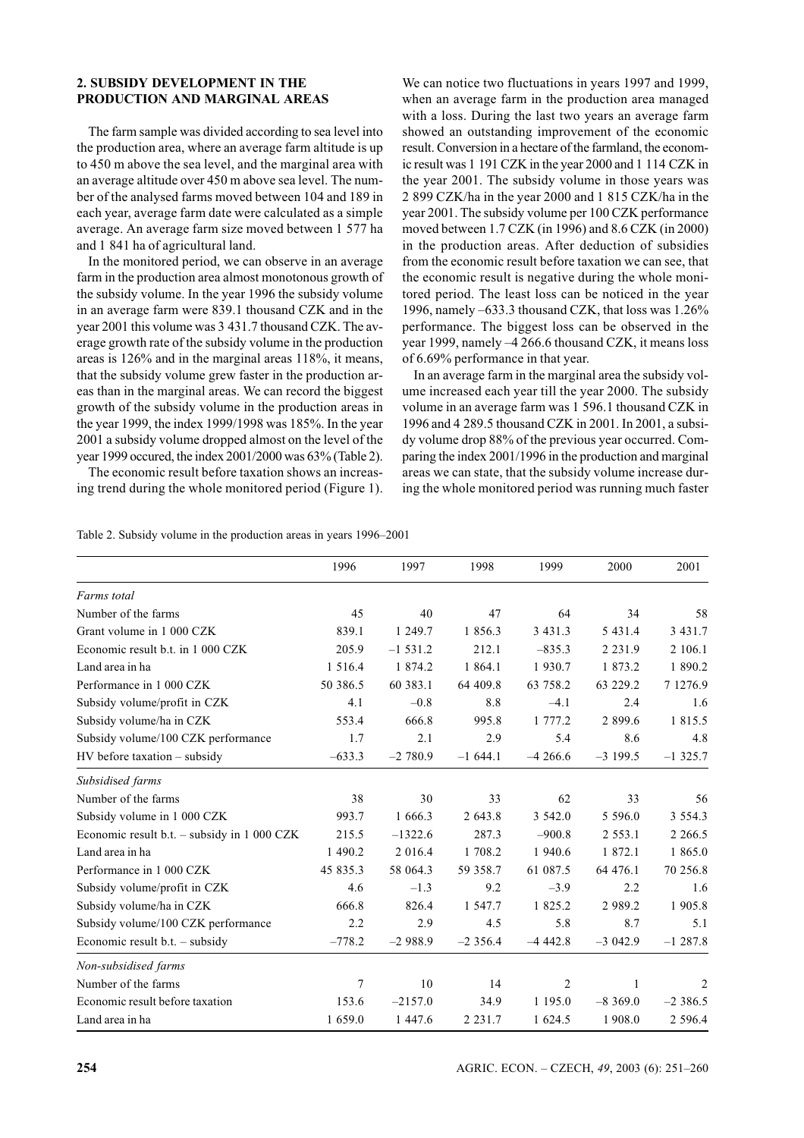# 2. SUBSIDY DEVELOPMENT IN THE PRODUCTION AND MARGINAL AREAS

The farm sample was divided according to sea level into the production area, where an average farm altitude is up to 450 m above the sea level, and the marginal area with an average altitude over 450 m above sea level. The number of the analysed farms moved between 104 and 189 in each year, average farm date were calculated as a simple average. An average farm size moved between 1 577 ha and 1 841 ha of agricultural land.

In the monitored period, we can observe in an average farm in the production area almost monotonous growth of the subsidy volume. In the year 1996 the subsidy volume in an average farm were 839.1 thousand CZK and in the vear 2001 this volume was 3 431.7 thousand CZK. The average growth rate of the subsidy volume in the production areas is 126% and in the marginal areas 118%, it means. that the subsidy volume grew faster in the production areas than in the marginal areas. We can record the biggest growth of the subsidy volume in the production areas in the year 1999, the index 1999/1998 was 185%. In the year 2001 a subsidy volume dropped almost on the level of the vear 1999 occured, the index 2001/2000 was 63% (Table 2).

The economic result before taxation shows an increasing trend during the whole monitored period (Figure 1). We can notice two fluctuations in years 1997 and 1999, when an average farm in the production area managed with a loss. During the last two vears an average farm showed an outstanding improvement of the economic result. Conversion in a hectare of the farmland, the economic result was 1 191 CZK in the year 2000 and 1 114 CZK in the year 2001. The subsidy volume in those years was 2 899 CZK/ha in the year 2000 and 1 815 CZK/ha in the vear 2001. The subsidy volume per 100 CZK performance moved between 1.7 CZK (in 1996) and 8.6 CZK (in 2000) in the production areas. After deduction of subsidies from the economic result before taxation we can see, that the economic result is negative during the whole monitored period. The least loss can be noticed in the year 1996, namely -633.3 thousand CZK, that loss was 1.26% performance. The biggest loss can be observed in the year 1999, namely -4 266.6 thousand CZK, it means loss of 6.69% performance in that year.

In an average farm in the marginal area the subsidy volume increased each year till the year 2000. The subsidy volume in an average farm was 1 596.1 thousand CZK in 1996 and 4 289.5 thousand CZK in 2001. In 2001, a subsidy volume drop 88% of the previous year occurred. Comparing the index 2001/1996 in the production and marginal areas we can state, that the subsidy volume increase during the whole monitored period was running much faster

| Table 2. Subsidy volume in the production areas in years 1996–2001 |  |  |  |  |
|--------------------------------------------------------------------|--|--|--|--|
|--------------------------------------------------------------------|--|--|--|--|

|                                             | 1996       | 1997        | 1998       | 1999        | 2000        | 2001       |
|---------------------------------------------|------------|-------------|------------|-------------|-------------|------------|
| Farms total                                 |            |             |            |             |             |            |
| Number of the farms                         | 45         | 40          | 47         | 64          | 34          | 58         |
| Grant volume in 1 000 CZK                   | 839.1      | 1 249.7     | 1 856.3    | 3 4 3 1 . 3 | 5 4 3 1 .4  | 3 4 3 1 .7 |
| Economic result b.t. in 1 000 CZK           | 205.9      | $-1, 531.2$ | 212.1      | $-835.3$    | 2 2 3 1 .9  | 2 106.1    |
| Land area in ha                             | 1 5 1 6 .4 | 1 874.2     | 1 864.1    | 1930.7      | 1 873.2     | 1890.2     |
| Performance in 1 000 CZK                    | 50 386.5   | 60 383.1    | 64 409.8   | 63 758.2    | 63 229.2    | 7 1276.9   |
| Subsidy volume/profit in CZK                | 4.1        | $-0.8$      | 8.8        | $-4.1$      | 2.4         | 1.6        |
| Subsidy volume/ha in CZK                    | 553.4      | 666.8       | 995.8      | 1 777.2     | 2 8 9 9.6   | 1 815.5    |
| Subsidy volume/100 CZK performance          | 1.7        | 2.1         | 2.9        | 5.4         | 8.6         | 4.8        |
| $HV$ before taxation $-$ subsidy            | $-633.3$   | $-2780.9$   | $-1644.1$  | $-4266.6$   | $-3$ 199.5  | $-1325.7$  |
| Subsidised farms                            |            |             |            |             |             |            |
| Number of the farms                         | 38         | 30          | 33         | 62          | 33          | 56         |
| Subsidy volume in 1 000 CZK                 | 993.7      | 1 666.3     | 2 643.8    | 3 542.0     | 5 5 9 6 .0  | 3 5 5 4 .3 |
| Economic result b.t. - subsidy in 1 000 CZK | 215.5      | $-1322.6$   | 287.3      | $-900.8$    | 2 5 5 3 .1  | 2 2 6 6.5  |
| Land area in ha                             | 1 490.2    | 2 016.4     | 1 708.2    | 1 940.6     | 1 872.1     | 1 865.0    |
| Performance in 1 000 CZK                    | 45 835.3   | 58 064.3    | 59 358.7   | 61 087.5    | 64 476.1    | 70 256.8   |
| Subsidy volume/profit in CZK                | 4.6        | $-1.3$      | 9.2        | $-3.9$      | 2.2         | 1.6        |
| Subsidy volume/ha in CZK                    | 666.8      | 826.4       | 1 547.7    | 1 825.2     | 2 9 8 9 . 2 | 1 905.8    |
| Subsidy volume/100 CZK performance          | 2.2        | 2.9         | 4.5        | 5.8         | 8.7         | 5.1        |
| Economic result $b.t.$ – subsidy            | $-778.2$   | $-2988.9$   | $-2356.4$  | $-4442.8$   | $-3042.9$   | $-1287.8$  |
| Non-subsidised farms                        |            |             |            |             |             |            |
| Number of the farms                         | 7          | 10          | 14         | 2           | 1           | 2          |
| Economic result before taxation             | 153.6      | $-2157.0$   | 34.9       | 1 195.0     | $-8,369.0$  | $-2386.5$  |
| Land area in ha                             | 1 659.0    | 1 447.6     | 2 2 3 1 .7 | 1 624.5     | 1908.0      | 2 5 9 6.4  |

AGRIC. ECON. - CZECH, 49, 2003 (6): 251-260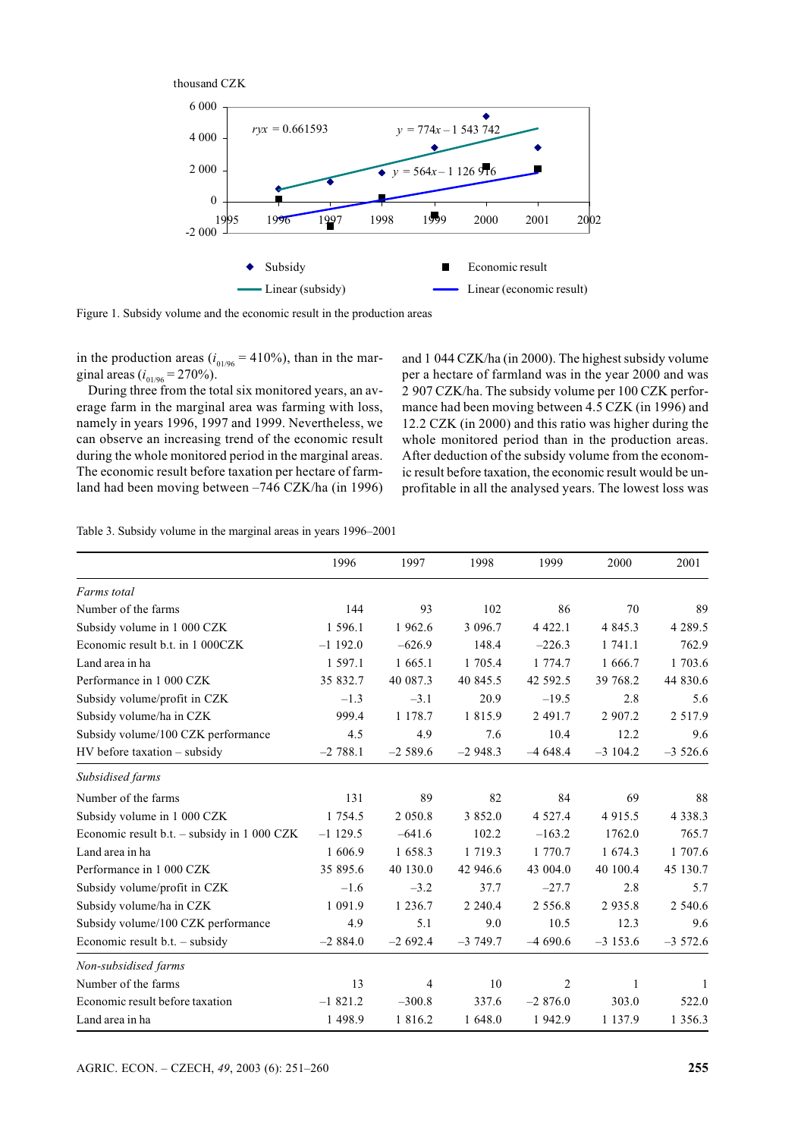

Figure 1. Subsidy volume and the economic result in the production areas

in the production areas ( $i_{01/96}$  = 410%), than in the marginal areas ( $i_{01/96}$  = 270%).

During three from the total six monitored years, an average farm in the marginal area was farming with loss, namely in years 1996, 1997 and 1999. Nevertheless, we can observe an increasing trend of the economic result during the whole monitored period in the marginal areas. The economic result before taxation per hectare of farmland had been moving between -746 CZK/ha (in 1996) and 1 044 CZK/ha (in 2000). The highest subsidy volume per a hectare of farmland was in the year 2000 and was 2 907 CZK/ha. The subsidy volume per 100 CZK performance had been moving between 4.5 CZK (in 1996) and 12.2 CZK (in 2000) and this ratio was higher during the whole monitored period than in the production areas. After deduction of the subsidy volume from the economic result before taxation, the economic result would be unprofitable in all the analysed years. The lowest loss was

|  |  |  |  |  |  |  |  | Table 3. Subsidy volume in the marginal areas in years 1996–2001 |  |  |  |  |  |  |
|--|--|--|--|--|--|--|--|------------------------------------------------------------------|--|--|--|--|--|--|
|--|--|--|--|--|--|--|--|------------------------------------------------------------------|--|--|--|--|--|--|

|                                             | 1996        | 1997       | 1998        | 1999        | 2000       | 2001        |
|---------------------------------------------|-------------|------------|-------------|-------------|------------|-------------|
| Farms total                                 |             |            |             |             |            |             |
| Number of the farms                         | 144         | 93         | 102         | 86          | 70         | 89          |
| Subsidy volume in 1 000 CZK                 | 1 596.1     | 1 962.6    | 3 0 9 6.7   | 4 4 2 2.1   | 4 8 4 5 .3 | 4 2 8 9 . 5 |
| Economic result b.t. in 1 000CZK            | $-1$ 192.0  | $-626.9$   | 148.4       | $-226.3$    | 1 741.1    | 762.9       |
| Land area in ha                             | 1 597.1     | 1 665.1    | 1 705.4     | 1 774.7     | 1 666.7    | 1 703.6     |
| Performance in 1 000 CZK                    | 35 832.7    | 40 087.3   | 40 845.5    | 42 592.5    | 39 768.2   | 44 830.6    |
| Subsidy volume/profit in CZK                | $-1.3$      | $-3.1$     | 20.9        | $-19.5$     | 2.8        | 5.6         |
| Subsidy volume/ha in CZK                    | 999.4       | 1 1 7 8 .7 | 1 8 1 5 .9  | 2 491.7     | 2 907.2    | 2 5 1 7 .9  |
| Subsidy volume/100 CZK performance          | 4.5         | 4.9        | 7.6         | 10.4        | 12.2       | 9.6         |
| HV before taxation - subsidy                | $-2788.1$   | $-2589.6$  | $-2948.3$   | $-4648.4$   | $-3104.2$  | $-3526.6$   |
| Subsidised farms                            |             |            |             |             |            |             |
| Number of the farms                         | 131         | 89         | 82          | 84          | 69         | 88          |
| Subsidy volume in 1 000 CZK                 | 1 7 5 4 . 5 | 2 0 5 0 .8 | 3 852.0     | 4 5 2 7 . 4 | 4 9 1 5 .5 | 4 3 3 8 . 3 |
| Economic result b.t. - subsidy in 1 000 CZK | $-1$ 129.5  | $-641.6$   | 102.2       | $-163.2$    | 1762.0     | 765.7       |
| Land area in ha                             | 1 606.9     | 1 658.3    | 1 7 1 9 . 3 | 1 770.7     | 1 674.3    | 1 707.6     |
| Performance in 1 000 CZK                    | 35 895.6    | 40 130.0   | 42 946.6    | 43 004.0    | 40 100.4   | 45 130.7    |
| Subsidy volume/profit in CZK                | $-1.6$      | $-3.2$     | 37.7        | $-27.7$     | 2.8        | 5.7         |
| Subsidy volume/ha in CZK                    | 1 091.9     | 1 2 3 6 .7 | 2 2 4 0 . 4 | 2 5 5 6 .8  | 2935.8     | 2 540.6     |
| Subsidy volume/100 CZK performance          | 4.9         | 5.1        | 9.0         | 10.5        | 12.3       | 9.6         |
| Economic result $b.t.$ – subsidy            | $-2884.0$   | $-2692.4$  | $-3749.7$   | $-4690.6$   | $-3153.6$  | $-3572.6$   |
| Non-subsidised farms                        |             |            |             |             |            |             |
| Number of the farms                         | 13          | 4          | 10          | 2           | 1          | 1           |
| Economic result before taxation             | $-1821.2$   | $-300.8$   | 337.6       | $-2876.0$   | 303.0      | 522.0       |
| Land area in ha                             | 1 4 9 8.9   | 1 816.2    | 1 648.0     | 1 942.9     | 1 137.9    | 1 3 5 6 . 3 |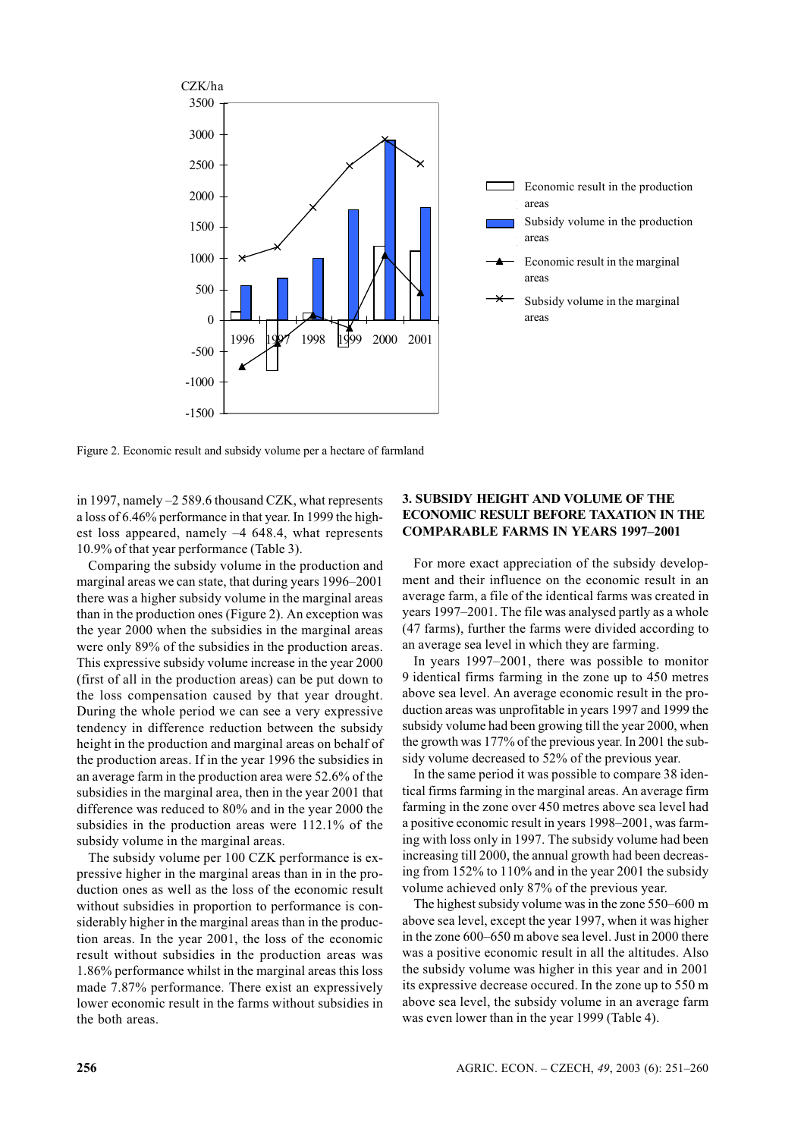



Figure 2. Economic result and subsidy volume per a hectare of farmland

in 1997, namely  $-2$  589.6 thousand CZK, what represents a loss of 6.46% performance in that year. In 1999 the highest loss appeared, namely  $-4$  648.4, what represents 10.9% of that year performance (Table 3).

Comparing the subsidy volume in the production and marginal areas we can state, that during years 1996-2001 there was a higher subsidy volume in the marginal areas than in the production ones (Figure 2). An exception was the year 2000 when the subsidies in the marginal areas were only 89% of the subsidies in the production areas. This expressive subsidy volume increase in the year 2000 (first of all in the production areas) can be put down to the loss compensation caused by that year drought. During the whole period we can see a very expressive tendency in difference reduction between the subsidy height in the production and marginal areas on behalf of the production areas. If in the year 1996 the subsidies in an average farm in the production area were 52.6% of the subsidies in the marginal area, then in the year 2001 that difference was reduced to 80% and in the year 2000 the subsidies in the production areas were 112.1% of the subsidy volume in the marginal areas.

The subsidy volume per 100 CZK performance is expressive higher in the marginal areas than in in the production ones as well as the loss of the economic result without subsidies in proportion to performance is considerably higher in the marginal areas than in the production areas. In the year 2001, the loss of the economic result without subsidies in the production areas was 1.86% performance whilst in the marginal areas this loss made 7.87% performance. There exist an expressively lower economic result in the farms without subsidies in the both areas.

# 3. SUBSIDY HEIGHT AND VOLUME OF THE **ECONOMIC RESULT BEFORE TAXATION IN THE COMPARABLE FARMS IN YEARS 1997-2001**

For more exact appreciation of the subsidy development and their influence on the economic result in an average farm, a file of the identical farms was created in years 1997–2001. The file was analysed partly as a whole (47 farms), further the farms were divided according to an average sea level in which they are farming.

In years  $1997-2001$ , there was possible to monitor 9 identical firms farming in the zone up to 450 metres above sea level. An average economic result in the production areas was unprofitable in years 1997 and 1999 the subsidy volume had been growing till the year 2000, when the growth was 177% of the previous year. In 2001 the subsidy volume decreased to 52% of the previous year.

In the same period it was possible to compare 38 identical firms farming in the marginal areas. An average firm farming in the zone over 450 metres above sea level had a positive economic result in years 1998–2001, was farming with loss only in 1997. The subsidy volume had been increasing till 2000, the annual growth had been decreasing from 152% to 110% and in the year 2001 the subsidy volume achieved only 87% of the previous year.

The highest subsidy volume was in the zone 550–600 m above sea level, except the year 1997, when it was higher in the zone 600-650 m above sea level. Just in 2000 there was a positive economic result in all the altitudes. Also the subsidy volume was higher in this year and in 2001 its expressive decrease occured. In the zone up to 550 m above sea level, the subsidy volume in an average farm was even lower than in the year 1999 (Table 4).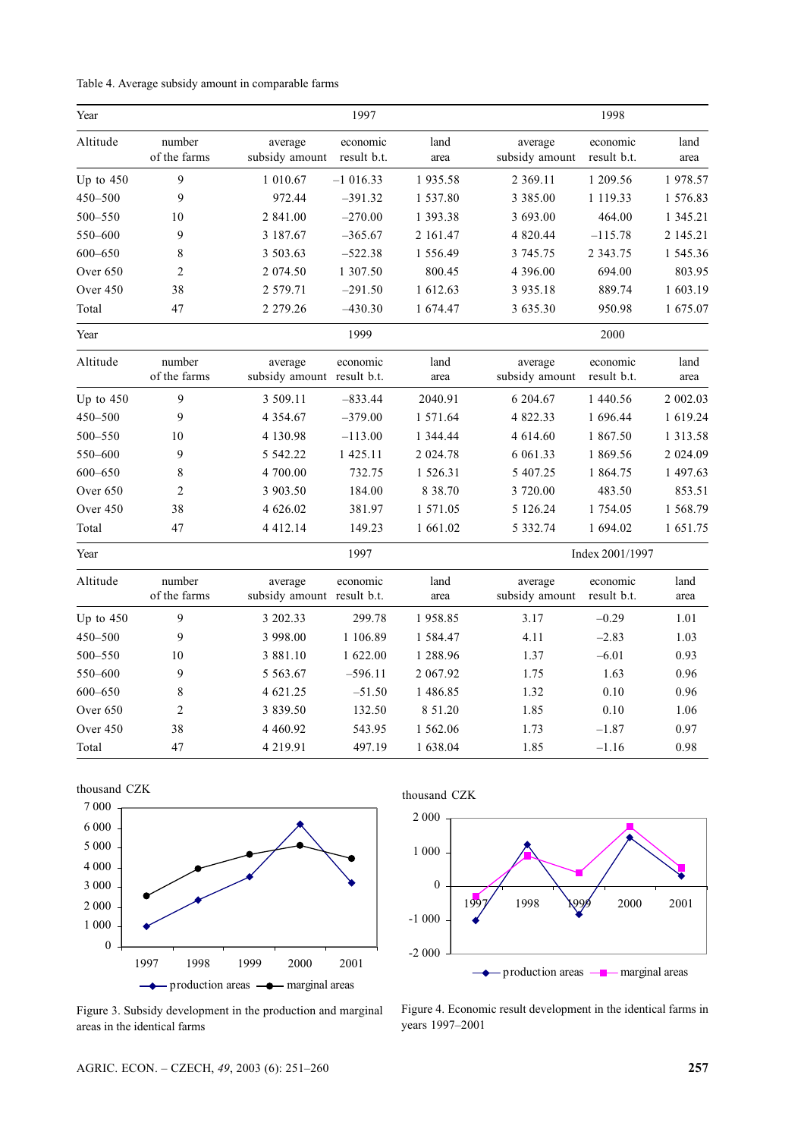| Table 4. Average subsidy amount in comparable farms |  |  |
|-----------------------------------------------------|--|--|
|                                                     |  |  |

| Year        |                        |                                       | 1997                    |              |                           | 1998                    |               |
|-------------|------------------------|---------------------------------------|-------------------------|--------------|---------------------------|-------------------------|---------------|
| Altitude    | number<br>of the farms | average<br>subsidy amount             | economic<br>result b.t. | land<br>area | average<br>subsidy amount | economic<br>result b.t. | land<br>area  |
| Up to $450$ | 9                      | 1 010.67                              | $-1016.33$              | 1935.58      | 2 3 6 9 . 1 1             | 1 209.56                | 1978.57       |
| 450-500     | 9                      | 972.44                                | $-391.32$               | 1 537.80     | 3 3 8 5 .00               | 1 119.33                | 1 576.83      |
| 500-550     | 10                     | 2 841.00                              | $-270.00$               | 1 393.38     | 3 693.00                  | 464.00                  | 1 345.21      |
| 550-600     | 9                      | 3 187.67                              | $-365.67$               | 2 161.47     | 4 820.44                  | $-115.78$               | 2 145.21      |
| $600 - 650$ | 8                      | 3 503.63                              | $-522.38$               | 1 556.49     | 3 745.75                  | 2 3 4 3 . 7 5           | 1 545.36      |
| Over 650    | $\overline{2}$         | 2 074.50                              | 1 307.50                | 800.45       | 4 396.00                  | 694.00                  | 803.95        |
| Over 450    | 38                     | 2 579.71                              | $-291.50$               | 1 612.63     | 3 9 3 5 . 1 8             | 889.74                  | 1 603.19      |
| Total       | 47                     | 2 2 7 9 . 2 6                         | $-430.30$               | 1 674.47     | 3 635.30                  | 950.98                  | 1 675.07      |
| Year        |                        |                                       | 1999                    |              |                           | 2000                    |               |
| Altitude    | number<br>of the farms | average<br>subsidy amount result b.t. | economic                | land<br>area | average<br>subsidy amount | economic<br>result b.t. | land<br>area  |
| Up to 450   | 9                      | 3 509.11                              | $-833.44$               | 2040.91      | 6 204.67                  | 1 440.56                | 2 002.03      |
| 450-500     | 9                      | 4 3 5 4 . 6 7                         | $-379.00$               | 1 571.64     | 4 822.33                  | 1 696.44                | 1 619.24      |
| $500 - 550$ | 10                     | 4 130.98                              | $-113.00$               | 1 344.44     | 4 614.60                  | 1867.50                 | 1 3 1 3 . 5 8 |
| 550-600     | 9                      | 5 542.22                              | 1 425.11                | 2 024.78     | 6 061.33                  | 1 869.56                | 2 024.09      |
| $600 - 650$ | 8                      | 4 700.00                              | 732.75                  | 1 526.31     | 5 407.25                  | 1 864.75                | 1 497.63      |
| Over 650    | $\overline{c}$         | 3 903.50                              | 184.00                  | 8 38.70      | 3 720.00                  | 483.50                  | 853.51        |
| Over 450    | 38                     | 4 626.02                              | 381.97                  | 1 571.05     | 5 126.24                  | 1 754.05                | 1 568.79      |
| Total       | 47                     | 4 4 1 2 . 1 4                         | 149.23                  | 1 661.02     | 5 3 3 2 . 7 4             | 1 694.02                | 1 651.75      |
| Year        |                        |                                       | 1997                    |              |                           | Index 2001/1997         |               |
| Altitude    | number<br>of the farms | average<br>subsidy amount result b.t. | economic                | land<br>area | average<br>subsidy amount | economic<br>result b.t. | land<br>area  |
| Up to $450$ | 9                      | 3 202.33                              | 299.78                  | 1958.85      | 3.17                      | $-0.29$                 | 1.01          |
| 450-500     | 9                      | 3 998.00                              | 1 106.89                | 1 584.47     | 4.11                      | $-2.83$                 | 1.03          |
| 500-550     | 10                     | 3 881.10                              | 1 622.00                | 1 288.96     | 1.37                      | $-6.01$                 | 0.93          |
| 550-600     | 9                      | 5 5 6 3 . 6 7                         | $-596.11$               | 2 067.92     | 1.75                      | 1.63                    | 0.96          |
| $600 - 650$ | $\,$ 8 $\,$            | 4 621.25                              | $-51.50$                | 1 486.85     | 1.32                      | 0.10                    | 0.96          |
| Over 650    | $\sqrt{2}$             | 3 839.50                              | 132.50                  | 8 51.20      | 1.85                      | 0.10                    | 1.06          |
| Over 450    | 38                     | 4 4 6 0.92                            | 543.95                  | 1 562.06     | 1.73                      | $-1.87$                 | 0.97          |
| Total       | 47                     | 4 2 1 9 . 9 1                         | 497.19                  | 1 638.04     | 1.85                      | $-1.16$                 | 0.98          |









Figure 3. Subsidy development in the production and marginal areas in the identical farms

Figure 4. Economic result development in the identical farms in years 1997-2001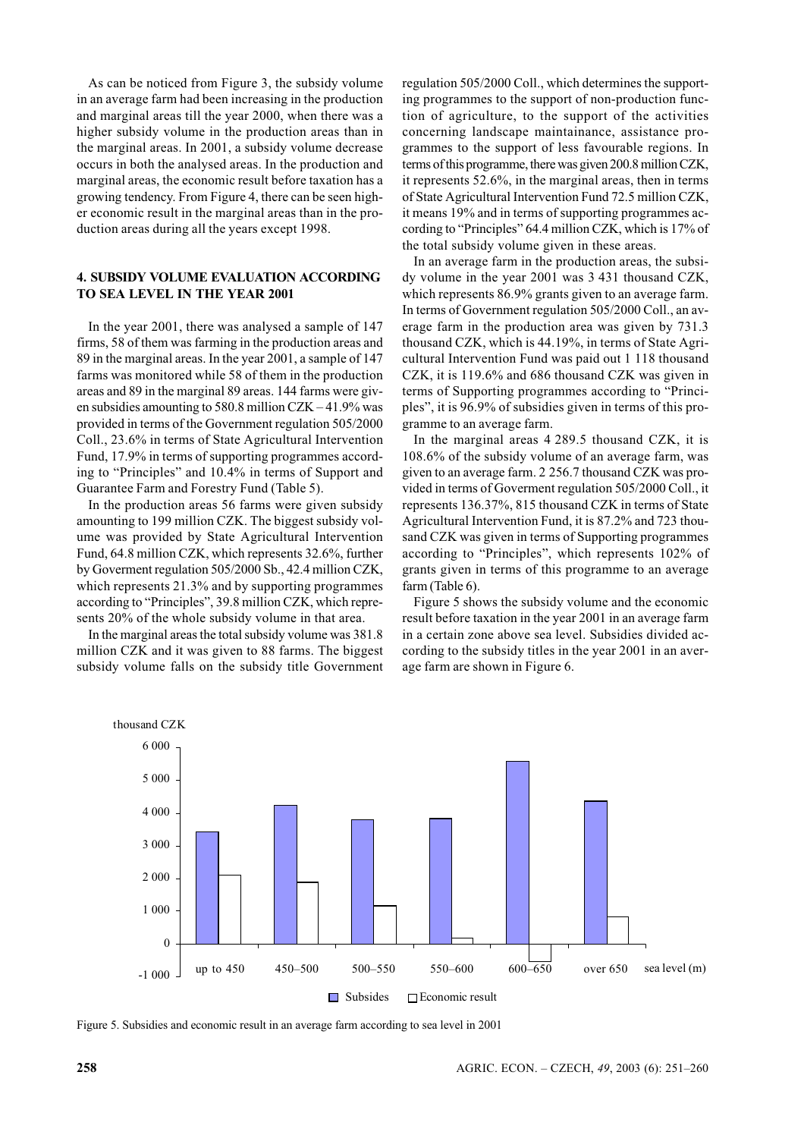As can be noticed from Figure 3, the subsidy volume in an average farm had been increasing in the production and marginal areas till the year 2000, when there was a higher subsidy volume in the production areas than in the marginal areas. In 2001, a subsidy volume decrease occurs in both the analysed areas. In the production and marginal areas, the economic result before taxation has a growing tendency. From Figure 4, there can be seen higher economic result in the marginal areas than in the production areas during all the years except 1998.

# **4. SUBSIDY VOLUME EVALUATION ACCORDING** TO SEA LEVEL IN THE YEAR 2001

In the year 2001, there was analysed a sample of 147 firms, 58 of them was farming in the production areas and 89 in the marginal areas. In the year 2001, a sample of 147 farms was monitored while 58 of them in the production areas and 89 in the marginal 89 areas. 144 farms were given subsidies amounting to 580.8 million  $CZK - 41.9\%$  was provided in terms of the Government regulation 505/2000 Coll., 23.6% in terms of State Agricultural Intervention Fund, 17.9% in terms of supporting programmes according to "Principles" and 10.4% in terms of Support and Guarantee Farm and Forestry Fund (Table 5).

In the production areas 56 farms were given subsidy amounting to 199 million CZK. The biggest subsidy volume was provided by State Agricultural Intervention Fund, 64.8 million CZK, which represents 32.6%, further by Governent regulation 505/2000 Sb., 42.4 million CZK, which represents 21.3% and by supporting programmes according to "Principles", 39.8 million CZK, which represents 20% of the whole subsidy volume in that area.

In the marginal areas the total subsidy volume was 381.8 million CZK and it was given to 88 farms. The biggest subsidy volume falls on the subsidy title Government regulation 505/2000 Coll., which determines the supporting programmes to the support of non-production function of agriculture, to the support of the activities concerning landscape maintainance, assistance programmes to the support of less favourable regions. In terms of this programme, there was given 200.8 million CZK, it represents  $52.6\%$ , in the marginal areas, then in terms of State Agricultural Intervention Fund 72.5 million CZK, it means 19% and in terms of supporting programmes according to "Principles" 64.4 million CZK, which is 17% of the total subsidy volume given in these areas.

In an average farm in the production areas, the subsidy volume in the year 2001 was 3 431 thousand CZK, which represents 86.9% grants given to an average farm. In terms of Government regulation 505/2000 Coll., an average farm in the production area was given by 731.3 thousand CZK, which is 44.19%, in terms of State Agricultural Intervention Fund was paid out 1 118 thousand CZK, it is 119.6% and 686 thousand CZK was given in terms of Supporting programmes according to "Principles", it is 96.9% of subsidies given in terms of this programme to an average farm.

In the marginal areas 4 289.5 thousand CZK, it is 108.6% of the subsidy volume of an average farm, was given to an average farm. 2 256.7 thousand CZK was provided in terms of Governent regulation 505/2000 Coll., it represents 136.37%, 815 thousand CZK in terms of State Agricultural Intervention Fund, it is 87.2% and 723 thousand CZK was given in terms of Supporting programmes according to "Principles", which represents 102% of grants given in terms of this programme to an average farm (Table 6).

Figure 5 shows the subsidy volume and the economic result before taxation in the year 2001 in an average farm in a certain zone above sea level. Subsidies divided according to the subsidy titles in the year 2001 in an average farm are shown in Figure 6.



Figure 5. Subsidies and economic result in an average farm according to sea level in 2001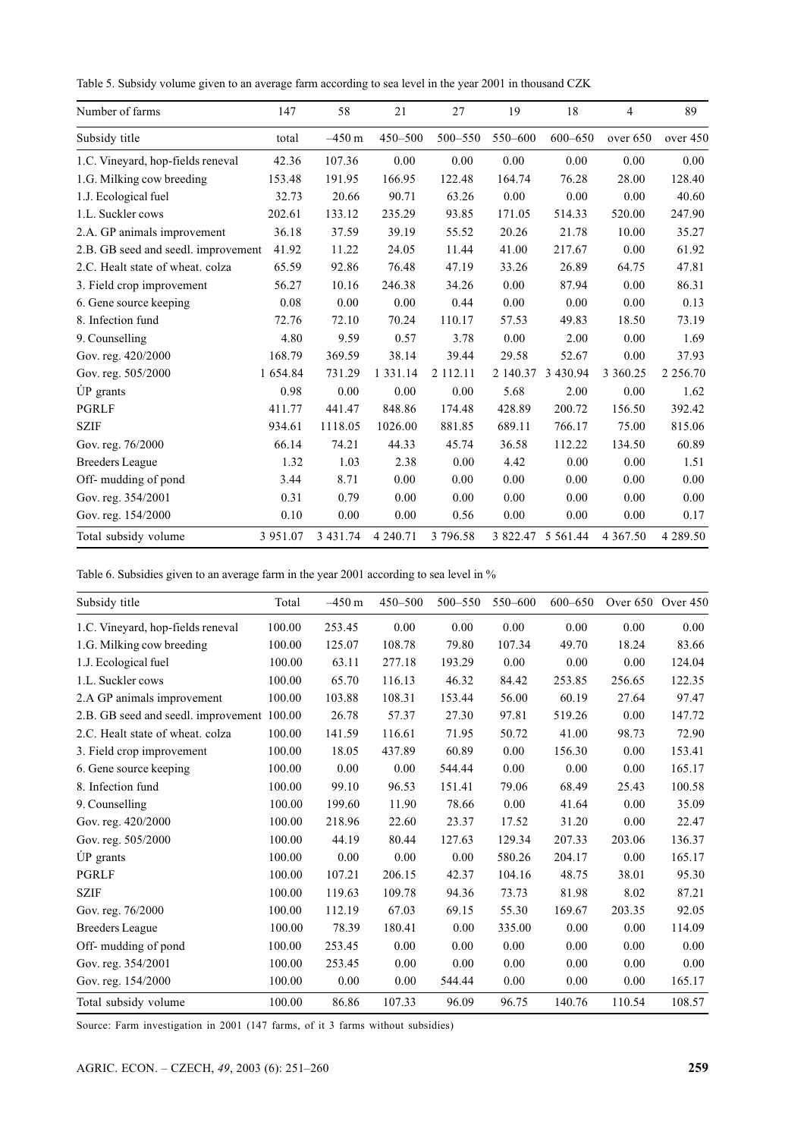Table 5. Subsidy volume given to an average farm according to sea level in the year 2001 in thousand CZK

| Number of farms                     | 147      | 58          | 21            | 27       | 19       | 18          | $\overline{4}$ | 89            |
|-------------------------------------|----------|-------------|---------------|----------|----------|-------------|----------------|---------------|
| Subsidy title                       | total    | $-450$ m    | 450-500       | 500-550  | 550-600  | $600 - 650$ | over 650       | over 450      |
| 1.C. Vineyard, hop-fields reneval   | 42.36    | 107.36      | 0.00          | 0.00     | 0.00     | 0.00        | 0.00           | 0.00          |
| 1.G. Milking cow breeding           | 153.48   | 191.95      | 166.95        | 122.48   | 164.74   | 76.28       | 28.00          | 128.40        |
| 1.J. Ecological fuel                | 32.73    | 20.66       | 90.71         | 63.26    | 0.00     | 0.00        | 0.00           | 40.60         |
| 1.L. Suckler cows                   | 202.61   | 133.12      | 235.29        | 93.85    | 171.05   | 514.33      | 520.00         | 247.90        |
| 2.A. GP animals improvement         | 36.18    | 37.59       | 39.19         | 55.52    | 20.26    | 21.78       | 10.00          | 35.27         |
| 2.B. GB seed and seedl. improvement | 41.92    | 11.22       | 24.05         | 11.44    | 41.00    | 217.67      | 0.00           | 61.92         |
| 2.C. Healt state of wheat. colza    | 65.59    | 92.86       | 76.48         | 47.19    | 33.26    | 26.89       | 64.75          | 47.81         |
| 3. Field crop improvement           | 56.27    | 10.16       | 246.38        | 34.26    | 0.00     | 87.94       | 0.00           | 86.31         |
| 6. Gene source keeping              | 0.08     | 0.00        | 0.00          | 0.44     | 0.00     | 0.00        | 0.00           | 0.13          |
| 8. Infection fund                   | 72.76    | 72.10       | 70.24         | 110.17   | 57.53    | 49.83       | 18.50          | 73.19         |
| 9. Counselling                      | 4.80     | 9.59        | 0.57          | 3.78     | 0.00     | 2.00        | 0.00           | 1.69          |
| Gov. reg. 420/2000                  | 168.79   | 369.59      | 38.14         | 39.44    | 29.58    | 52.67       | 0.00           | 37.93         |
| Gov. reg. 505/2000                  | 1 654.84 | 731.29      | 1 3 3 1 . 1 4 | 2 112.11 | 2 140.37 | 3 430.94    | 3 3 6 0.25     | 2 2 5 6 . 7 0 |
| ÚP grants                           | 0.98     | 0.00        | 0.00          | 0.00     | 5.68     | 2.00        | 0.00           | 1.62          |
| <b>PGRLF</b>                        | 411.77   | 441.47      | 848.86        | 174.48   | 428.89   | 200.72      | 156.50         | 392.42        |
| <b>SZIF</b>                         | 934.61   | 1118.05     | 1026.00       | 881.85   | 689.11   | 766.17      | 75.00          | 815.06        |
| Gov. reg. 76/2000                   | 66.14    | 74.21       | 44.33         | 45.74    | 36.58    | 112.22      | 134.50         | 60.89         |
| <b>Breeders</b> League              | 1.32     | 1.03        | 2.38          | 0.00     | 4.42     | 0.00        | 0.00           | 1.51          |
| Off- mudding of pond                | 3.44     | 8.71        | 0.00          | 0.00     | 0.00     | 0.00        | 0.00           | 0.00          |
| Gov. reg. 354/2001                  | 0.31     | 0.79        | 0.00          | 0.00     | 0.00     | 0.00        | 0.00           | 0.00          |
| Gov. reg. 154/2000                  | 0.10     | 0.00        | 0.00          | 0.56     | 0.00     | 0.00        | 0.00           | 0.17          |
| Total subsidy volume                | 3 951.07 | 3 4 3 1 .74 | 4 240.71      | 3 796.58 | 3 822.47 | 5 5 6 1 .44 | 4 3 6 7 . 5 0  | 4 289.50      |

Table 6. Subsidies given to an average farm in the year 2001 according to sea level in %

| Subsidy title                              | Total  | $-450 \text{ m}$ | $450 - 500$ | 500-550 | 550-600 | $600 - 650$ | Over $650$ | Over 450 |
|--------------------------------------------|--------|------------------|-------------|---------|---------|-------------|------------|----------|
| 1.C. Vineyard, hop-fields reneval          | 100.00 | 253.45           | 0.00        | 0.00    | 0.00    | 0.00        | 0.00       | 0.00     |
| 1.G. Milking cow breeding                  | 100.00 | 125.07           | 108.78      | 79.80   | 107.34  | 49.70       | 18.24      | 83.66    |
| 1.J. Ecological fuel                       | 100.00 | 63.11            | 277.18      | 193.29  | 0.00    | 0.00        | 0.00       | 124.04   |
| 1.L. Suckler cows                          | 100.00 | 65.70            | 116.13      | 46.32   | 84.42   | 253.85      | 256.65     | 122.35   |
| 2.A GP animals improvement                 | 100.00 | 103.88           | 108.31      | 153.44  | 56.00   | 60.19       | 27.64      | 97.47    |
| 2.B. GB seed and seedl. improvement 100.00 |        | 26.78            | 57.37       | 27.30   | 97.81   | 519.26      | 0.00       | 147.72   |
| 2.C. Healt state of wheat. colza           | 100.00 | 141.59           | 116.61      | 71.95   | 50.72   | 41.00       | 98.73      | 72.90    |
| 3. Field crop improvement                  | 100.00 | 18.05            | 437.89      | 60.89   | 0.00    | 156.30      | 0.00       | 153.41   |
| 6. Gene source keeping                     | 100.00 | 0.00             | 0.00        | 544.44  | 0.00    | 0.00        | 0.00       | 165.17   |
| 8. Infection fund                          | 100.00 | 99.10            | 96.53       | 151.41  | 79.06   | 68.49       | 25.43      | 100.58   |
| 9. Counselling                             | 100.00 | 199.60           | 11.90       | 78.66   | 0.00    | 41.64       | 0.00       | 35.09    |
| Gov. reg. 420/2000                         | 100.00 | 218.96           | 22.60       | 23.37   | 17.52   | 31.20       | 0.00       | 22.47    |
| Gov. reg. 505/2000                         | 100.00 | 44.19            | 80.44       | 127.63  | 129.34  | 207.33      | 203.06     | 136.37   |
| ÚP grants                                  | 100.00 | 0.00             | 0.00        | 0.00    | 580.26  | 204.17      | 0.00       | 165.17   |
| <b>PGRLF</b>                               | 100.00 | 107.21           | 206.15      | 42.37   | 104.16  | 48.75       | 38.01      | 95.30    |
| <b>SZIF</b>                                | 100.00 | 119.63           | 109.78      | 94.36   | 73.73   | 81.98       | 8.02       | 87.21    |
| Gov. reg. 76/2000                          | 100.00 | 112.19           | 67.03       | 69.15   | 55.30   | 169.67      | 203.35     | 92.05    |
| <b>Breeders League</b>                     | 100.00 | 78.39            | 180.41      | 0.00    | 335.00  | 0.00        | 0.00       | 114.09   |
| Off- mudding of pond                       | 100.00 | 253.45           | 0.00        | 0.00    | 0.00    | 0.00        | 0.00       | 0.00     |
| Gov. reg. 354/2001                         | 100.00 | 253.45           | 0.00        | 0.00    | 0.00    | 0.00        | 0.00       | 0.00     |
| Gov. reg. 154/2000                         | 100.00 | 0.00             | 0.00        | 544.44  | 0.00    | 0.00        | 0.00       | 165.17   |
| Total subsidy volume                       | 100.00 | 86.86            | 107.33      | 96.09   | 96.75   | 140.76      | 110.54     | 108.57   |

Source: Farm investigation in 2001 (147 farms, of it 3 farms without subsidies)